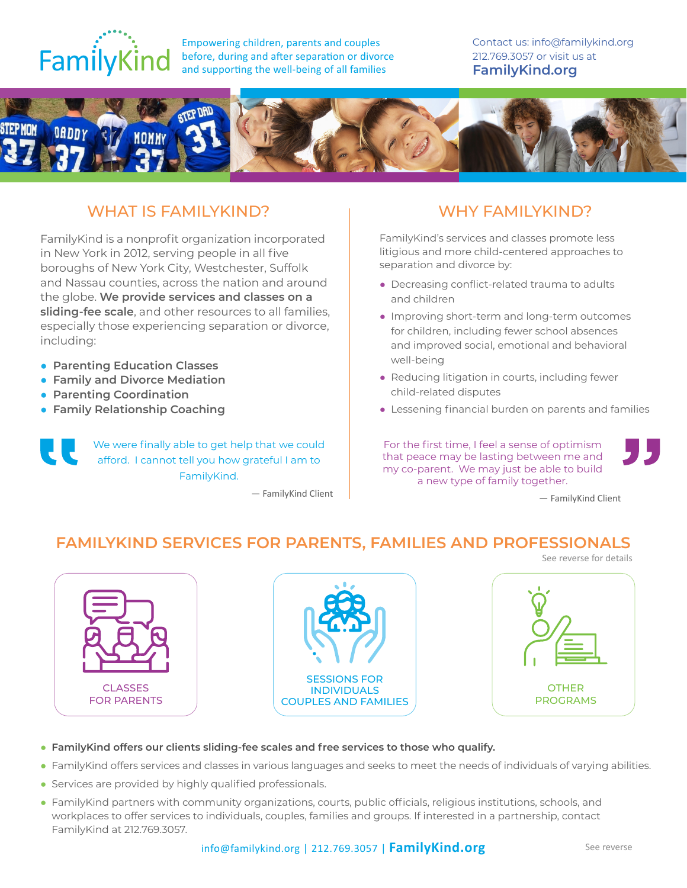

Empowering children, parents and couples before, during and after separation or divorce and supporting the well-being of all families

Contact us: info@familykind.org [212.769.3057](tel:+1212-7693057) or visit us at **[FamilyKind.org](https://www.familykind.org/)**



## WHAT IS FAMILYKIND? THE RESERVE WHY FAMILYKIND?

FamilyKind is a nonprofit organization incorporated in New York in 2012, serving people in all five boroughs of New York City, Westchester, Suffolk and Nassau counties, across the nation and around the globe. **We provide services and classes on a sliding-fee scale**, and other resources to all families, especially those experiencing separation or divorce, including:

- **Parenting Education Classes**
- **Family and Divorce Mediation**
- **Parenting Coordination**
- **Family Relationship Coaching**

We were finally able to get help that we could afford. I cannot tell you how grateful I am to FamilyKind.

— FamilyKind Client

FamilyKind's services and classes promote less litigious and more child-centered approaches to separation and divorce by:

- Decreasing conflict-related trauma to adults and children
- Improving short-term and long-term outcomes for children, including fewer school absences and improved social, emotional and behavioral well-being
- Reducing litigation in courts, including fewer child-related disputes
- Lessening financial burden on parents and families

For the first time, I feel a sense of optimism that peace may be lasting between me and my co-parent. We may just be able to build a new type of family together.

— FamilyKind Client

, J 5

### **FAMILYKIND SERVICES FOR PARENTS, FAMILIES AND PROFESSIONALS**



- **FamilyKind offers our clients sliding-fee scales and free services to those who qualify.**
- FamilyKind offers services and classes in various languages and seeks to meet the needs of individuals of varying abilities.
- Services are provided by highly qualified professionals.
- FamilyKind partners with community organizations, courts, public officials, religious institutions, schools, and workplaces to offer services to individuals, couples, families and groups. If interested in a partnership, contact FamilyKind at 212.769.3057.